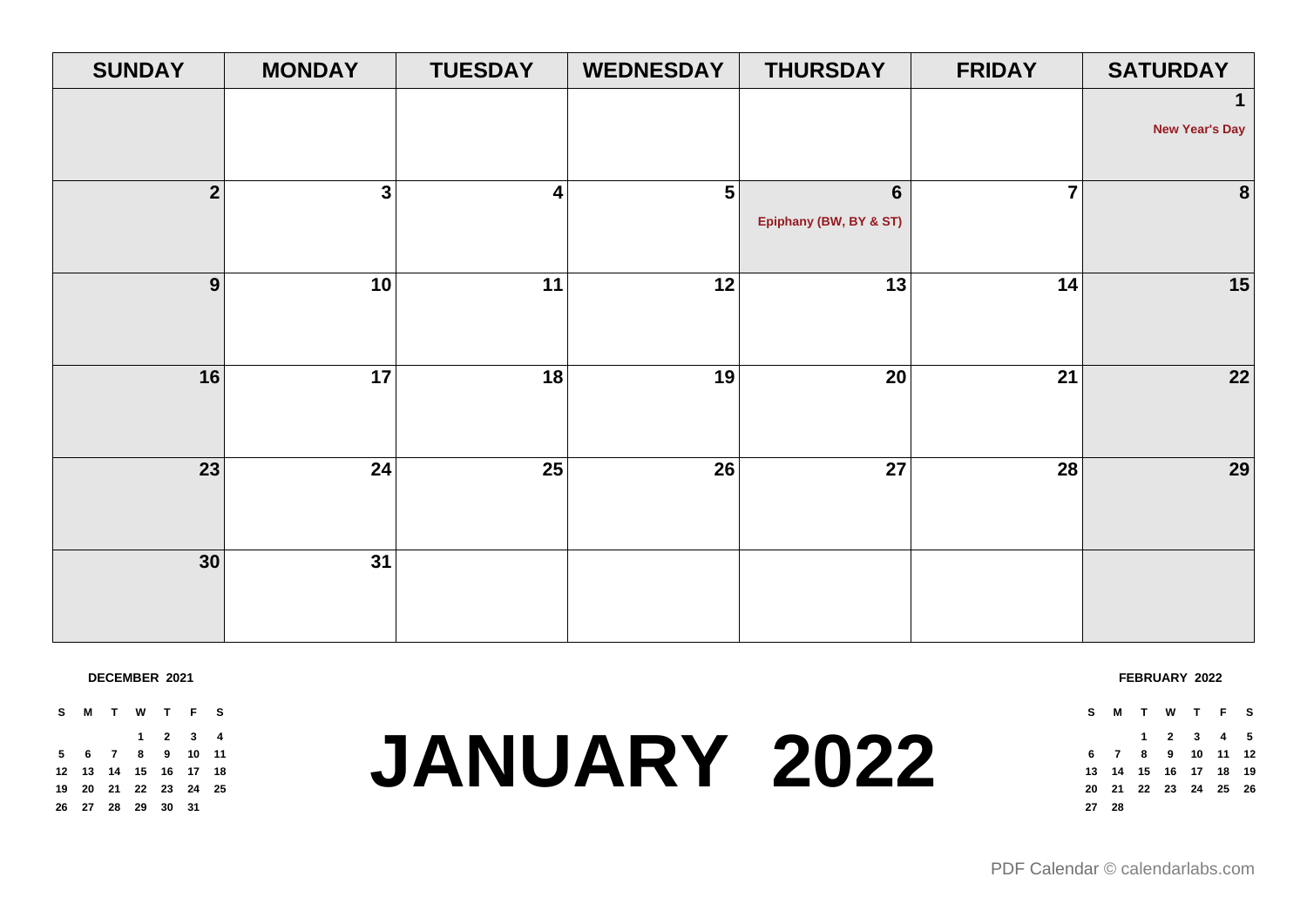| <b>SUNDAY</b>  | <b>MONDAY</b> | <b>TUESDAY</b>          | <b>WEDNESDAY</b> | <b>THURSDAY</b>                          | <b>FRIDAY</b>  | <b>SATURDAY</b>                       |
|----------------|---------------|-------------------------|------------------|------------------------------------------|----------------|---------------------------------------|
|                |               |                         |                  |                                          |                | $\mathbf{1}$<br><b>New Year's Day</b> |
| $\overline{2}$ | $\mathbf{3}$  | $\overline{\mathbf{4}}$ | 5                | $6\phantom{a}$<br>Epiphany (BW, BY & ST) | $\overline{7}$ | 8                                     |
| 9              | 10            | 11                      | 12               | $\overline{13}$                          | 14             | 15                                    |
| 16             | 17            | 18                      | 19               | 20                                       | 21             | 22                                    |
| 23             | 24            | 25                      | 26               | $\overline{27}$                          | <b>28</b>      | 29                                    |
| 30             | 31            |                         |                  |                                          |                |                                       |
|                |               |                         |                  |                                          |                |                                       |

**DECEMBER 2021**

**S M T W T F S 2 3 4 6 7 8 9 10 11 13 14 15 16 17 18 20 21 22 23 24 25 27 28 29 30 31**

# **JANUARY 2022**

**FEBRUARY 2022**

**S M T W T F S**

 **2 3 4 5 7 8 9 10 11 12 14 15 16 17 18 19 21 22 23 24 25 26 28**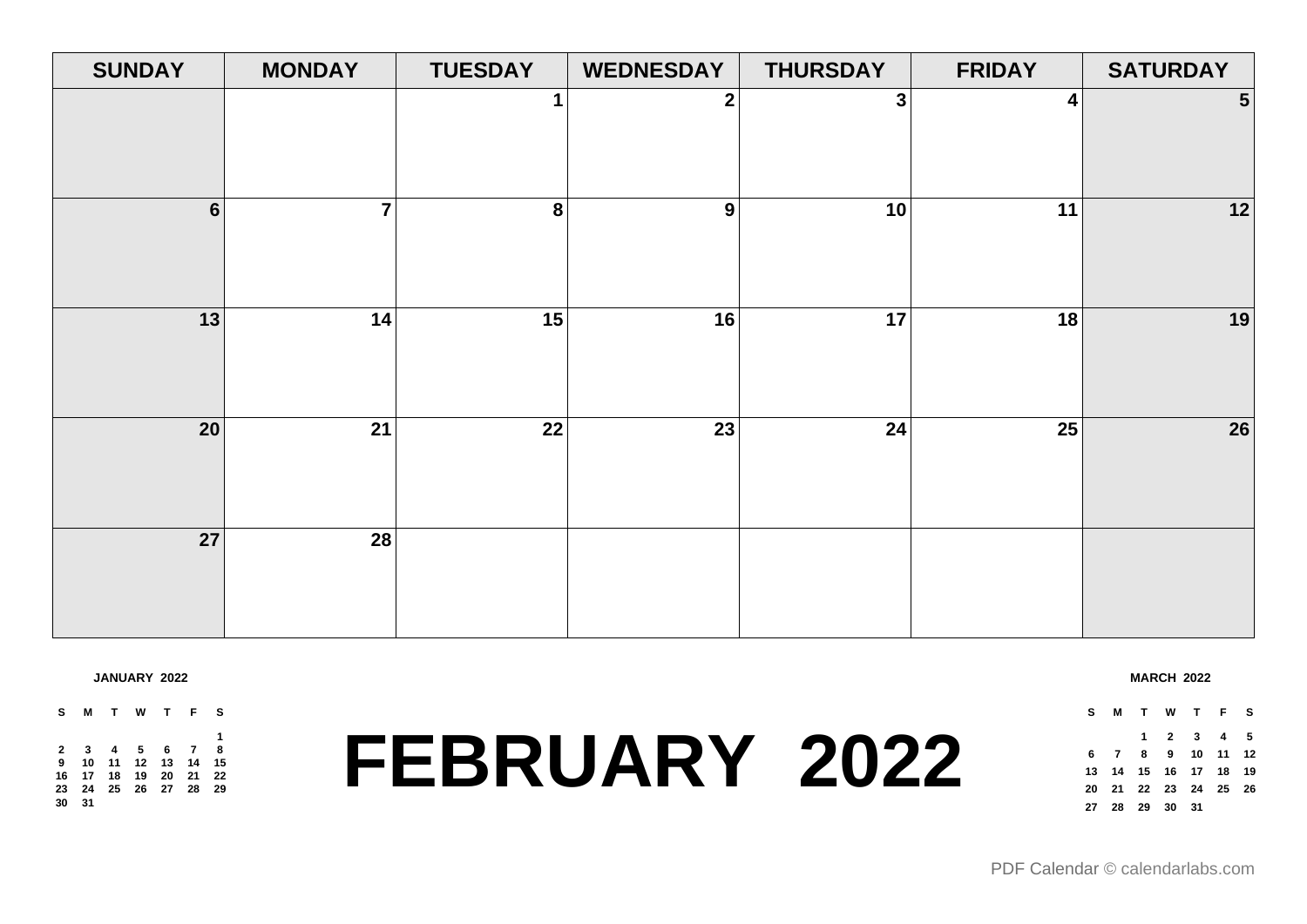| <b>SUNDAY</b>  | <b>MONDAY</b>  | <b>TUESDAY</b> | <b>WEDNESDAY</b> | <b>THURSDAY</b> | <b>FRIDAY</b> | <b>SATURDAY</b> |
|----------------|----------------|----------------|------------------|-----------------|---------------|-----------------|
|                |                | $\mathbf 1$    | $\mathbf 2$      | $\mathbf{3}$    | 4             | $5\phantom{.0}$ |
| $6\phantom{a}$ | $\overline{7}$ | 8              | $\boldsymbol{9}$ | 10              | 11            | 12              |
| 13             | 14             | 15             | 16               | 17              | 18            | 19              |
| 20             | 21             | 22             | 23               | 24              | 25            | 26              |
| 27             | 28             |                |                  |                 |               |                 |

### **JANUARY 2022**

### **S M T W T F S 3 4 5 6 7 8 10 11 12 13 14 15 17 18 19 20 21 22 24 25 26 27 28 29 31**

## **FEBRUARY 2022**

### **MARCH 2022**

| s  |                    |  | M T W T F S                |  |
|----|--------------------|--|----------------------------|--|
|    |                    |  | 1 2 3 4 5                  |  |
| 6. |                    |  | 7 8 9 10 11 12             |  |
|    |                    |  | 13  14  15  16  17  18  19 |  |
|    |                    |  | 20 21 22 23 24 25 26       |  |
|    | 27  28  29  30  31 |  |                            |  |
|    |                    |  |                            |  |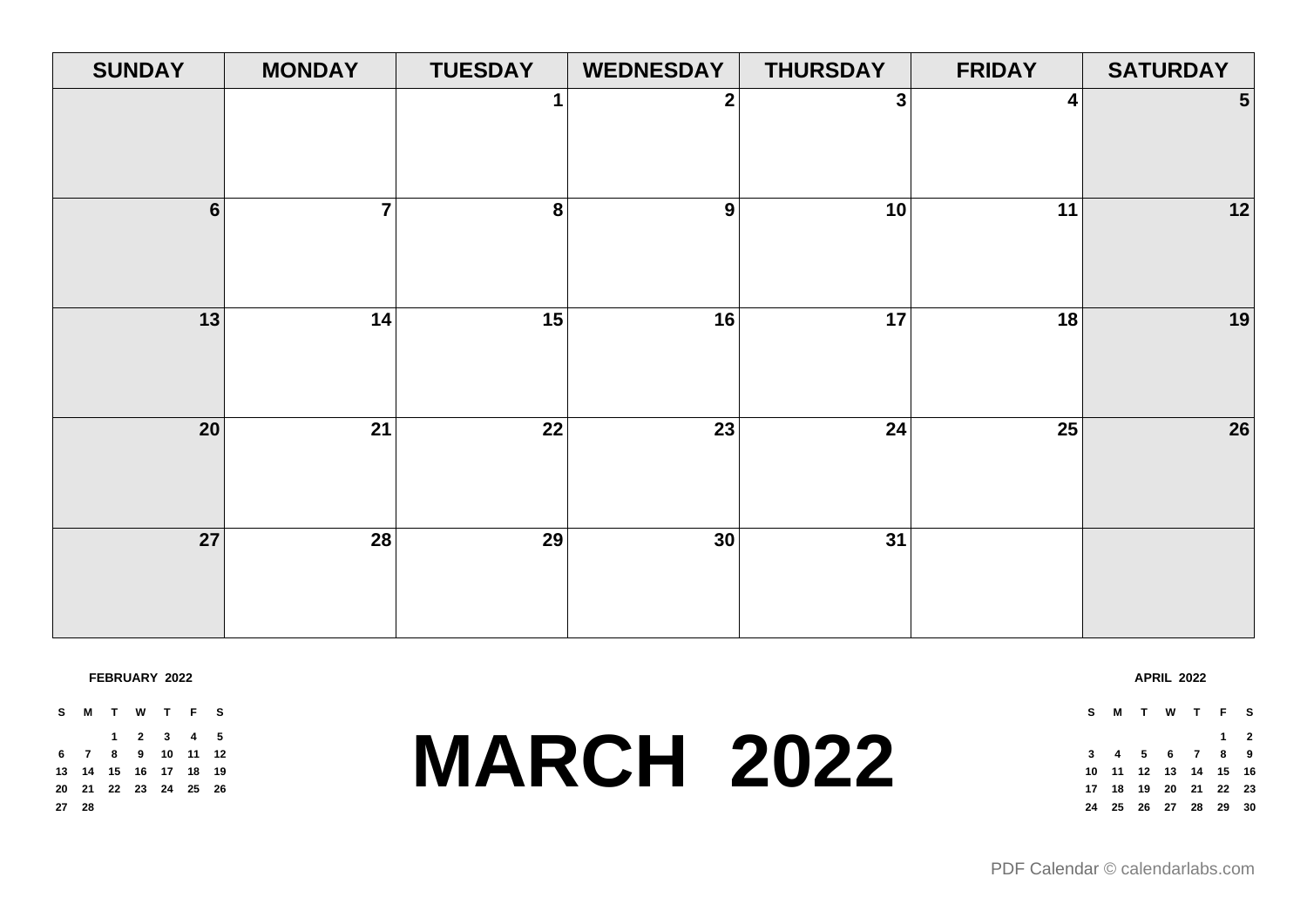| <b>SUNDAY</b>   | <b>MONDAY</b>  | <b>TUESDAY</b> | <b>WEDNESDAY</b> | <b>THURSDAY</b> | <b>FRIDAY</b> | <b>SATURDAY</b>         |
|-----------------|----------------|----------------|------------------|-----------------|---------------|-------------------------|
|                 |                | 1              | $\mathbf 2$      | $\mathbf{3}$    | 4             | $\overline{\mathbf{5}}$ |
| $6\phantom{a}$  | $\overline{7}$ | 8              | 9                | 10              | 11            | 12                      |
| 13              | 14             | 15             | 16               | 17              | 18            | 19                      |
| 20 <sup>°</sup> | 21             | 22             | 23               | 24              | 25            | 26                      |
| 27              | 28             | 29             | 30               | 31              |               |                         |

### **FEBRUARY 2022**

**S M T W T F S 2 3 4 5 7 8 9 10 11 12 14 15 16 17 18 19 21 22 23 24 25 26 28**

### **MARCH 2022**

**S M T W T F S 2 4 5 6 7 8 9 11 12 13 14 15 16 18 19 20 21 22 23 25 26 27 28 29 30**

**APRIL 2022**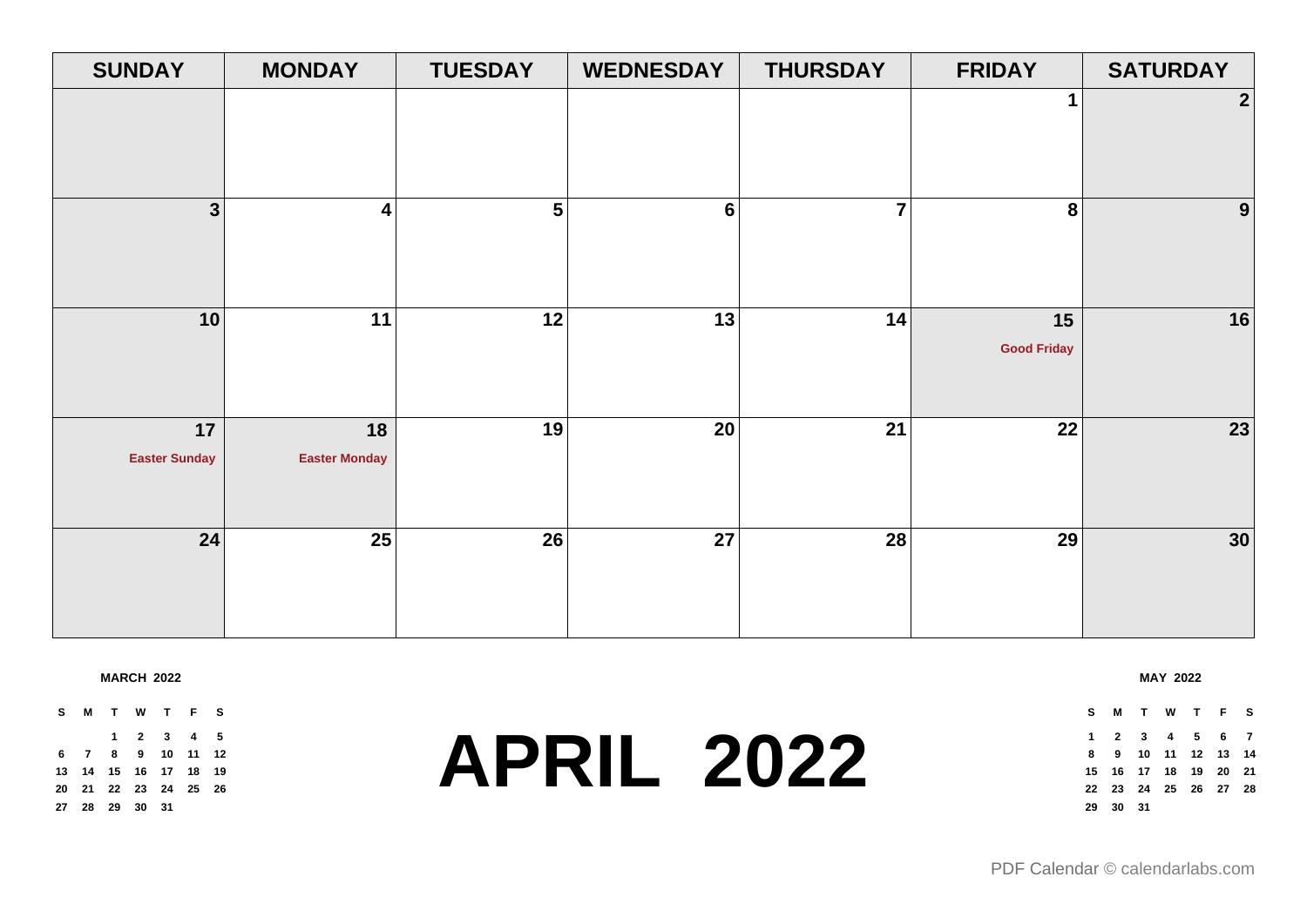| <b>SUNDAY</b>        | <b>MONDAY</b>        | <b>TUESDAY</b>  | <b>WEDNESDAY</b> | <b>THURSDAY</b> | <b>FRIDAY</b>      | <b>SATURDAY</b>  |
|----------------------|----------------------|-----------------|------------------|-----------------|--------------------|------------------|
|                      |                      |                 |                  |                 | $\mathbf{1}$       | $\boldsymbol{2}$ |
|                      |                      |                 |                  |                 |                    |                  |
|                      |                      |                 |                  |                 |                    |                  |
| $\mathbf{3}$         | 4                    | $5\overline{)}$ | $6\phantom{a}$   | $\overline{7}$  | 8                  | 9                |
|                      |                      |                 |                  |                 |                    |                  |
|                      |                      |                 |                  |                 |                    |                  |
| 10                   | 11                   | 12              | 13               | 14              | 15                 | 16               |
|                      |                      |                 |                  |                 | <b>Good Friday</b> |                  |
|                      |                      |                 |                  |                 |                    |                  |
| 17                   | 18                   | 19              | 20               | 21              | 22                 | 23               |
| <b>Easter Sunday</b> | <b>Easter Monday</b> |                 |                  |                 |                    |                  |
|                      |                      |                 |                  |                 |                    |                  |
| 24                   | 25                   | 26              | 27               | 28              | 29                 | 30               |
|                      |                      |                 |                  |                 |                    |                  |
|                      |                      |                 |                  |                 |                    |                  |
|                      |                      |                 |                  |                 |                    |                  |

**MARCH 2022**

**S M T W T F S 2 3 4 5 7 8 9 10 11 12 14 15 16 17 18 19 21 22 23 24 25 26 28 29 30 31**

### **APRIL 2022**

### **S M T W T F S 2 3 4 5 6 7 9 10 11 12 13 14 16 17 18 19 20 21 23 24 25 26 27 28 30 31**

**MAY 2022**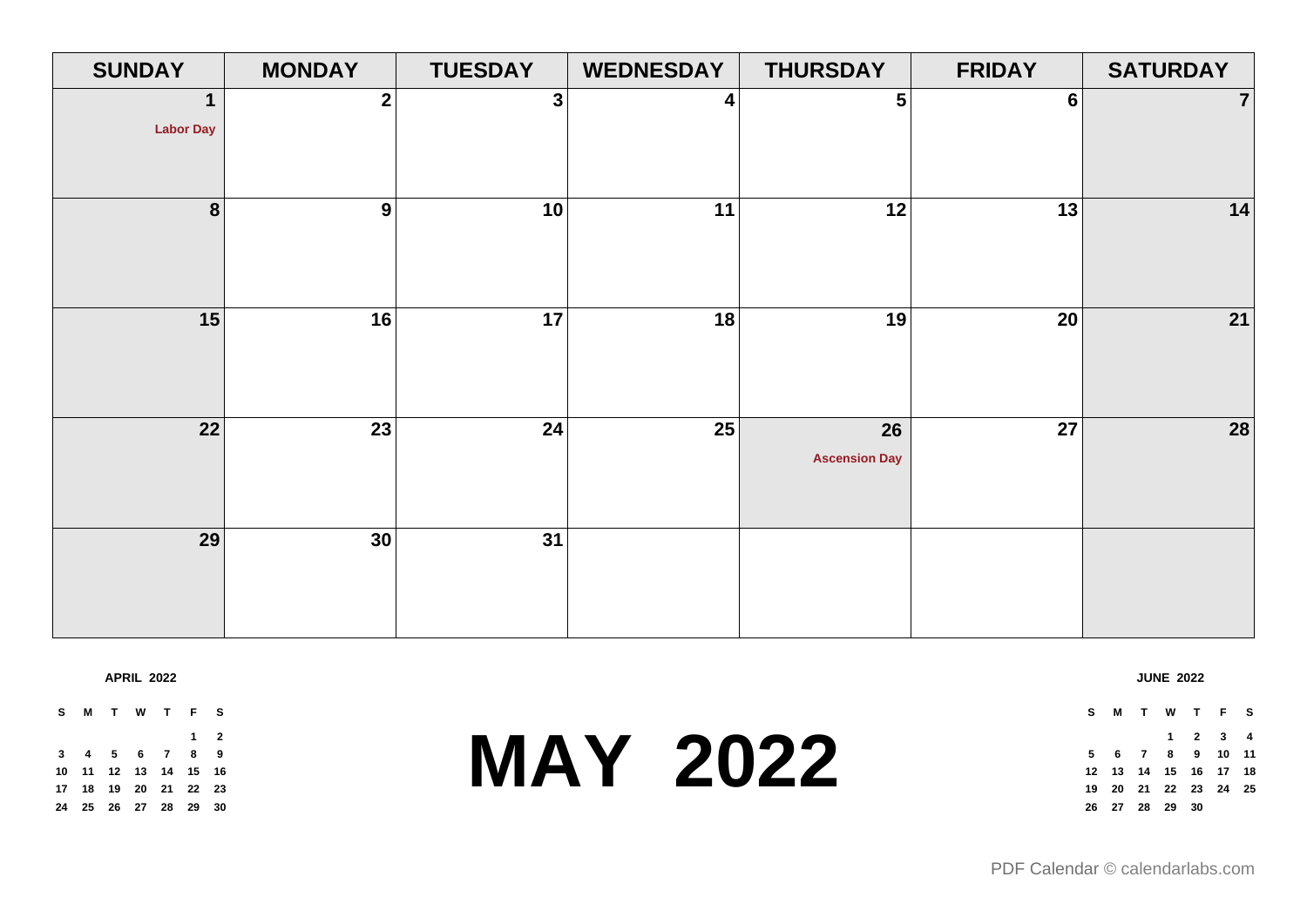| <b>SUNDAY</b>         | <b>MONDAY</b>    | <b>TUESDAY</b> | <b>WEDNESDAY</b> | <b>THURSDAY</b>            | <b>FRIDAY</b>  | <b>SATURDAY</b> |
|-----------------------|------------------|----------------|------------------|----------------------------|----------------|-----------------|
| 1<br><b>Labor Day</b> | $\boldsymbol{2}$ | $\mathbf{3}$   | 4                | 5                          | $6\phantom{1}$ | 7 <sup>1</sup>  |
| 8                     | 9                | 10             | 11               | 12                         | 13             | 14              |
| 15                    | 16               | 17             | 18               | 19                         | 20             | 21              |
| 22                    | $\overline{23}$  | 24             | 25               | 26<br><b>Ascension Day</b> | 27             | 28              |
| 29                    | 30               | 31             |                  |                            |                |                 |

**APRIL 2022**

**S M T W T F S 2 4 5 6 7 8 9 11 12 13 14 15 16 18 19 20 21 22 23 25 26 27 28 29 30**

### **MAY 2022**

### **JUNE 2022**

**S M T W T F S 2 3 4 6 7 8 9 10 11 13 14 15 16 17 18 20 21 22 23 24 25 27 28 29 30**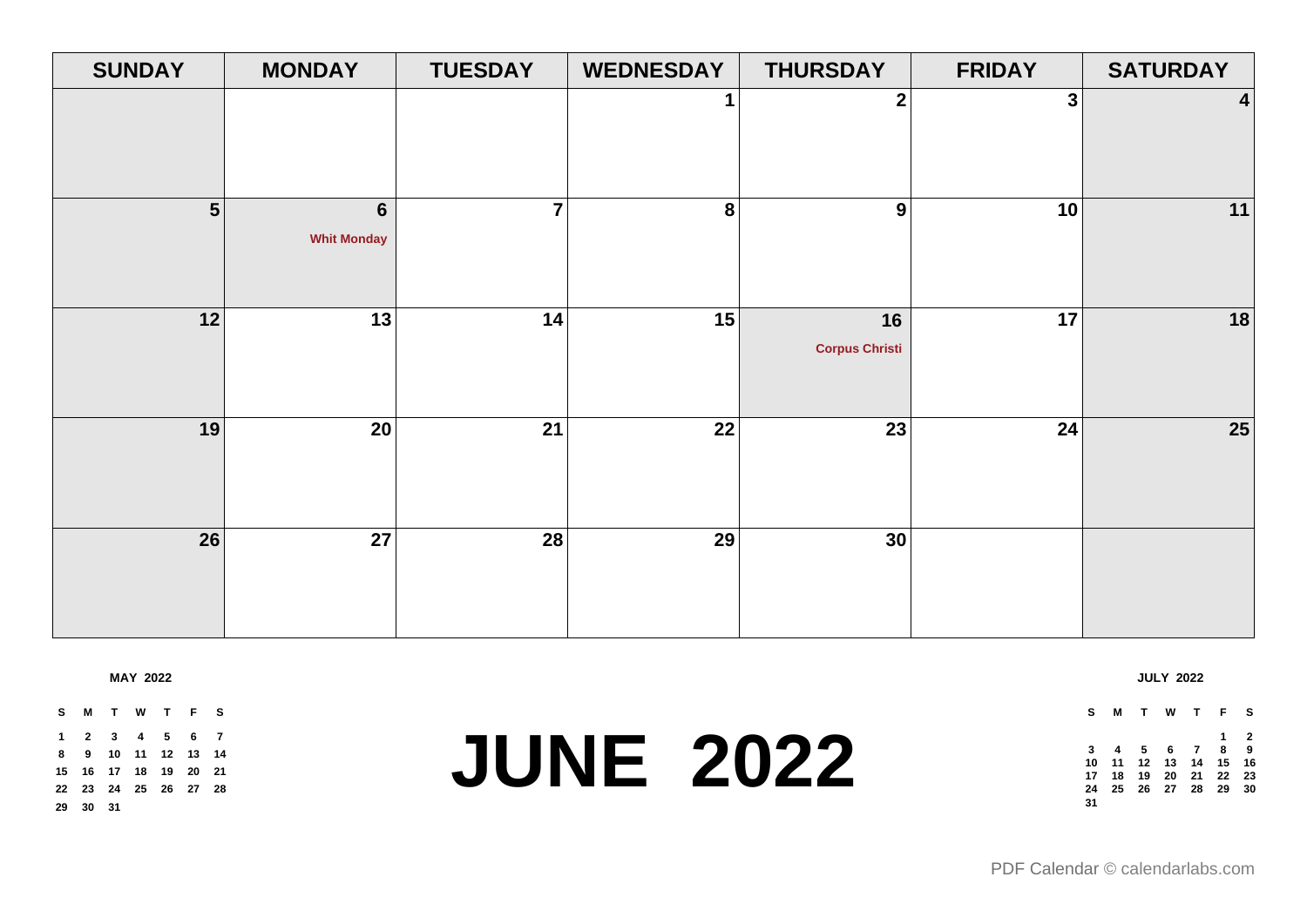| <b>SUNDAY</b> | <b>MONDAY</b>                 | <b>TUESDAY</b> | <b>WEDNESDAY</b> | <b>THURSDAY</b>             | <b>FRIDAY</b> | <b>SATURDAY</b> |
|---------------|-------------------------------|----------------|------------------|-----------------------------|---------------|-----------------|
|               |                               |                | 1                | $\mathbf 2$                 | 3             | 4               |
| 5             | $\bf 6$<br><b>Whit Monday</b> | $\overline{7}$ | ${\bf 8}$        | 9                           | 10            | $11$            |
| 12            | 13                            | 14             | 15               | 16<br><b>Corpus Christi</b> | 17            | 18              |
| 19            | 20                            | 21             | 22               | 23                          | 24            | 25              |
| 26            | 27                            | 28             | 29               | 30                          |               |                 |

**MAY 2022**

**JUNE 2022 S M T W T F S 2 3 4 5 6 7 9 10 11 12 13 14 16 17 18 19 20 21 23 24 25 26 27 28 30 31 S M T W T F S 2 4 5 6 7 8 9 11 12 13 14 15 16 18 19 20 21 22 23 25 26 27 28 29 30** 

[PDF Calendar](https://www.calendarlabs.com/pdf-calendar) © calendarlabs.com

**JULY 2022**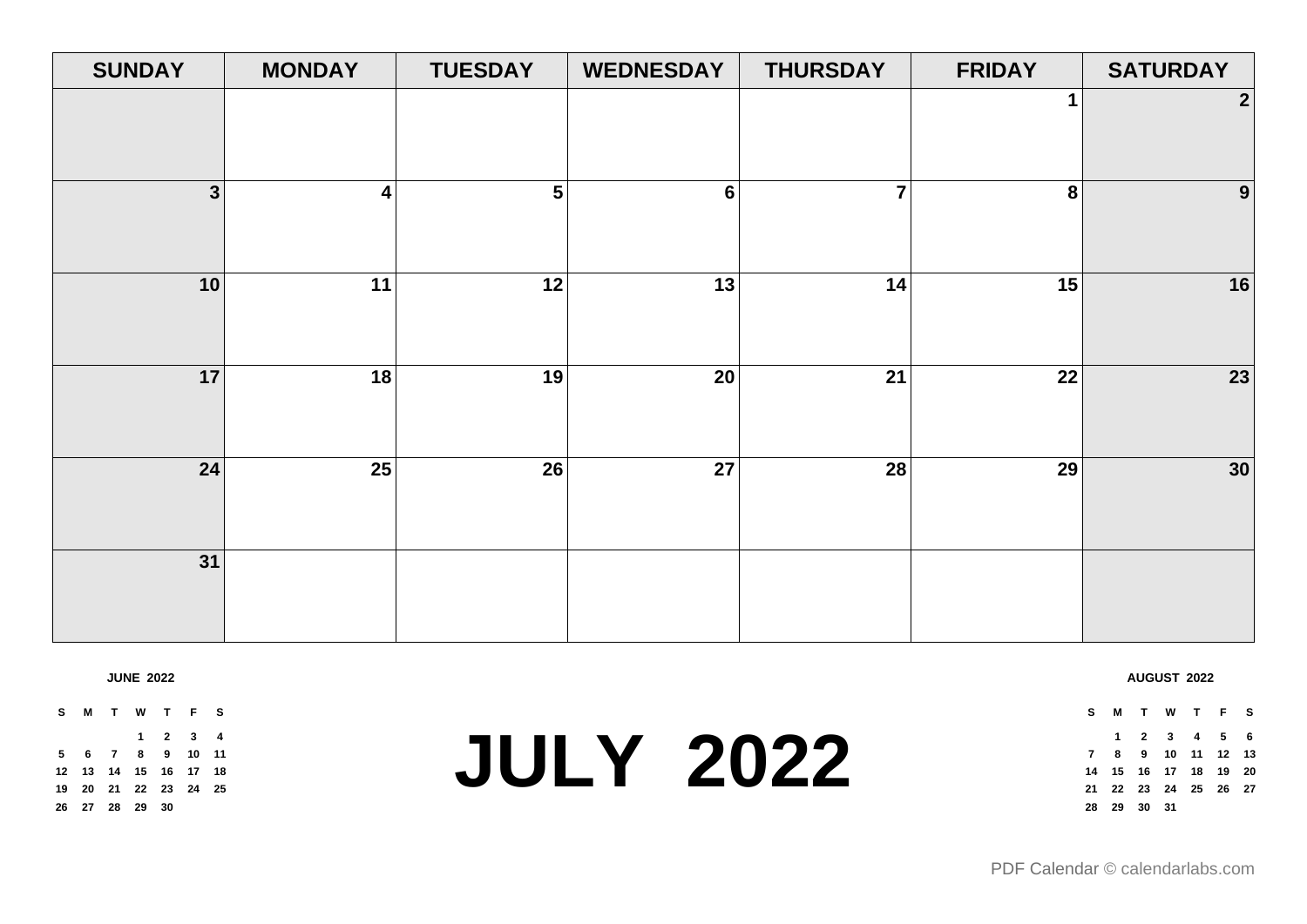| <b>SUNDAY</b>  | <b>MONDAY</b>           | <b>TUESDAY</b>          | <b>WEDNESDAY</b> | <b>THURSDAY</b> | <b>FRIDAY</b>   | <b>SATURDAY</b>  |
|----------------|-------------------------|-------------------------|------------------|-----------------|-----------------|------------------|
|                |                         |                         |                  |                 | 1               | $\boldsymbol{2}$ |
| 3 <sup>1</sup> | $\overline{\mathbf{4}}$ | $\overline{\mathbf{5}}$ | $6\phantom{a}$   | $\overline{7}$  | $\bf 8$         | $\boldsymbol{9}$ |
| 10             | 11                      | 12                      | 13               | 14              | 15              | 16               |
| 17             | $\overline{18}$         | 19                      | $\overline{20}$  | $\overline{21}$ | $\overline{22}$ | $\overline{23}$  |
| 24             | 25                      | 26                      | 27               | 28              | 29              | $30$             |
| 31             |                         |                         |                  |                 |                 |                  |

**JUNE 2022**

**S M T W T F S 2 3 4 6 7 8 9 10 11 13 14 15 16 17 18 20 21 22 23 24 25 27 28 29 30**

### **JULY 2022**

**S M T W T F S 2 3 4 5 6 8 9 10 11 12 13 15 16 17 18 19 20 22 23 24 25 26 27 29 30 31**

**AUGUST 2022**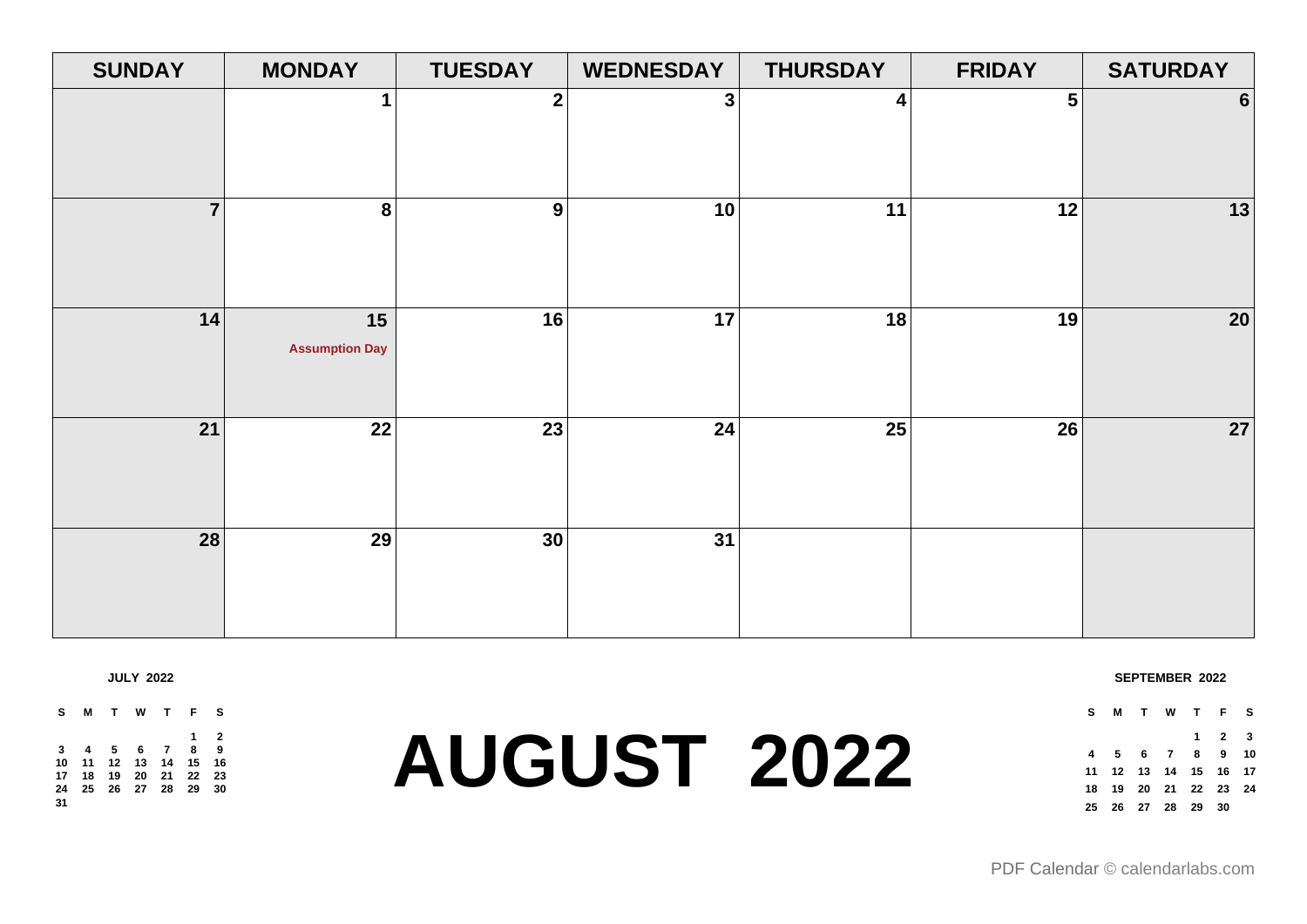| <b>SUNDAY</b>  | <b>MONDAY</b>               | <b>TUESDAY</b>   | <b>WEDNESDAY</b> | <b>THURSDAY</b> | <b>FRIDAY</b>  | <b>SATURDAY</b> |
|----------------|-----------------------------|------------------|------------------|-----------------|----------------|-----------------|
|                | 1                           | $\boldsymbol{2}$ | 3                | 4               | 5 <sup>1</sup> | $6 \mid$        |
| $\overline{7}$ | 8                           | 9                | 10               | 11              | 12             | 13              |
| 14             | 15<br><b>Assumption Day</b> | 16               | 17               | 18              | 19             | 20              |
| 21             | $\overline{22}$             | 23               | 24               | $\overline{25}$ | 26             | 27              |
| 28             | $\overline{29}$             | 30               | 31               |                 |                |                 |

**JULY 2022**

**S M T W T F S 2 4 5 6 7 8 9 11 12 13 14 15 16 18 19 20 21 22 23 25 26 27 28 29 30** 

## **AUGUST 2022**

**SEPTEMBER 2022**

**S M T W T F S 2 3 5 6 7 8 9 10 12 13 14 15 16 17 19 20 21 22 23 24 26 27 28 29 30**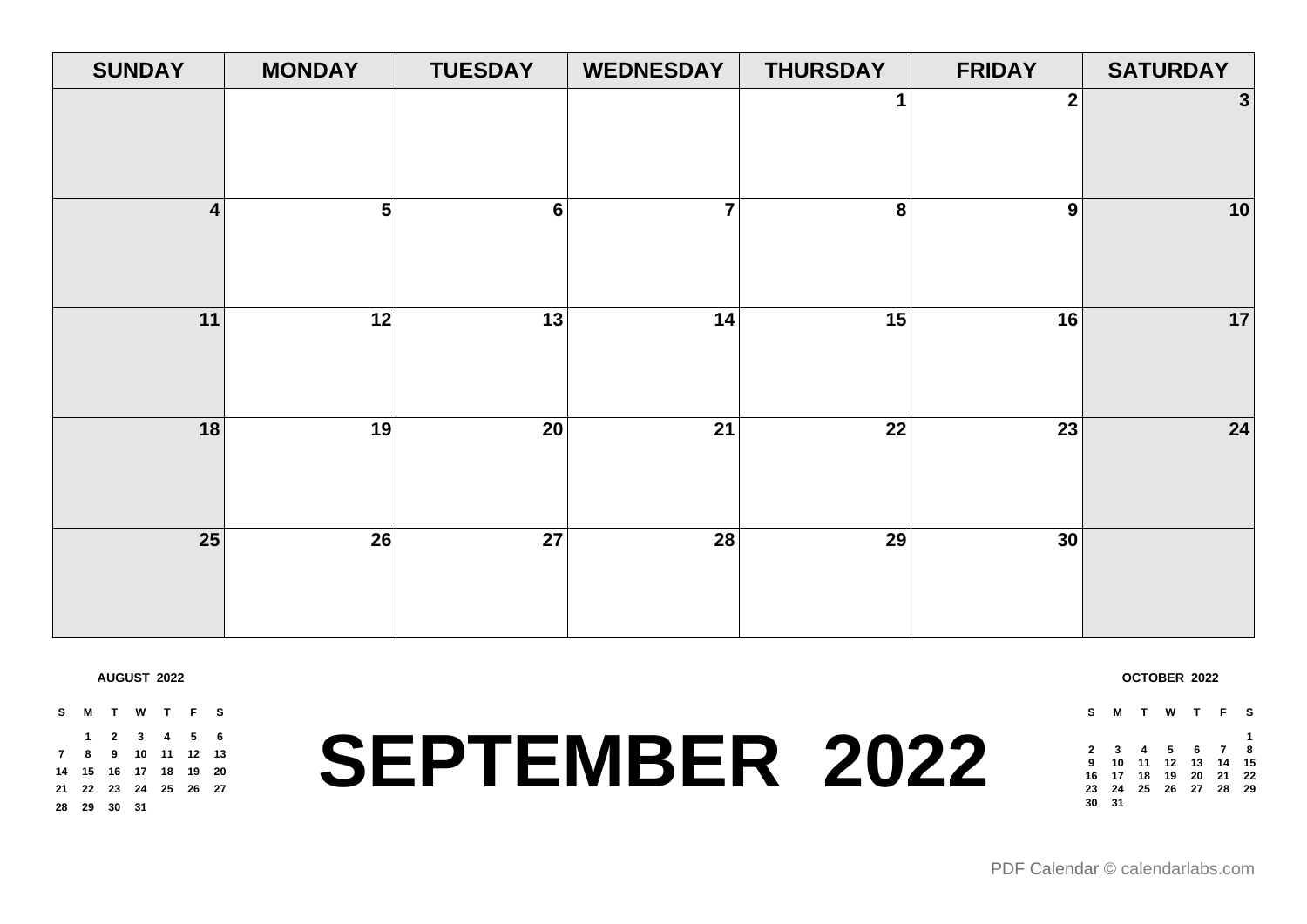| <b>SUNDAY</b>  | <b>MONDAY</b> | <b>TUESDAY</b>  | <b>WEDNESDAY</b> | <b>THURSDAY</b> | <b>FRIDAY</b>    | <b>SATURDAY</b> |
|----------------|---------------|-----------------|------------------|-----------------|------------------|-----------------|
|                |               |                 |                  |                 | $\boldsymbol{2}$ | 3               |
| $\overline{4}$ | 5             | $6\phantom{1}$  | $\overline{7}$   | 8               | 9                | 10              |
| 11             | 12            | 13              | 14               | 15              | 16               | 17              |
| 18             | 19            | 20 <sup>°</sup> | 21               | 22              | 23               | 24              |
| 25             | 26            | 27              | 28               | 29              | 30               |                 |

**AUGUST 2022**

**29 30 31**

**SEPTEMBER 2022 S M T W T F S 2 3 4 5 6 8 9 10 11 12 13 15 16 17 18 19 20 22 23 24 25 26 27**

**OCTOBER 2022**

| s            | м                    |  | TWTF              | <b>S</b> |
|--------------|----------------------|--|-------------------|----------|
|              |                      |  |                   | 1        |
| $\mathbf{2}$ |                      |  | 3 4 5 6 7 8       |          |
| 9            |                      |  | 10 11 12 13 14 15 |          |
|              | 16 17 18 19 20 21 22 |  |                   |          |
| 23           |                      |  | 24 25 26 27 28 29 |          |
| 30           | 31                   |  |                   |          |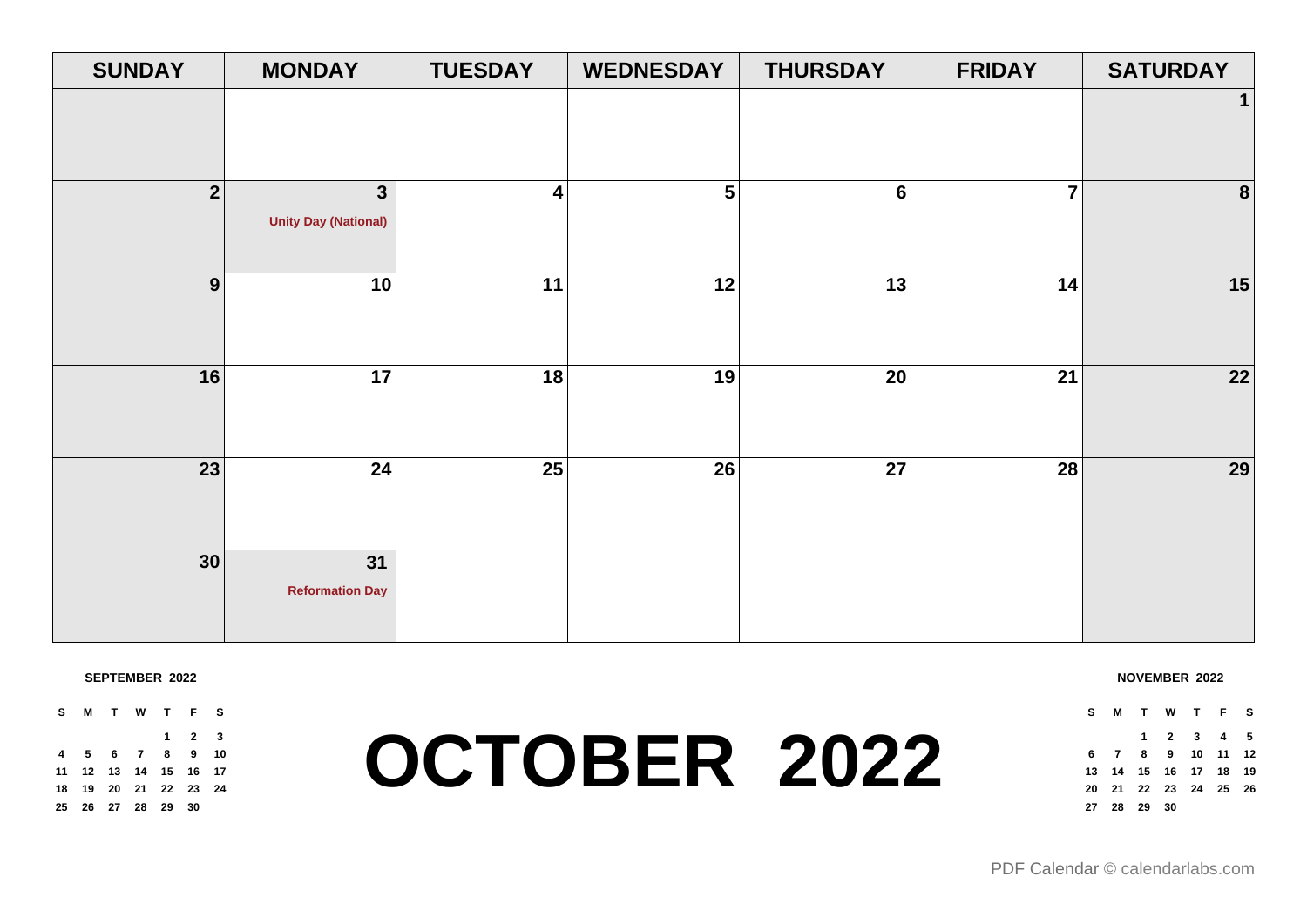| <b>SUNDAY</b>           | <b>MONDAY</b>               | <b>TUESDAY</b>          | <b>WEDNESDAY</b>        | <b>THURSDAY</b> | <b>FRIDAY</b>  | <b>SATURDAY</b> |
|-------------------------|-----------------------------|-------------------------|-------------------------|-----------------|----------------|-----------------|
|                         |                             |                         |                         |                 |                | $\mathbf 1$     |
|                         |                             |                         |                         |                 |                |                 |
| $\overline{\mathbf{2}}$ | $\mathbf{3}$                | $\overline{\mathbf{4}}$ | $\overline{\mathbf{5}}$ | 6               | $\overline{7}$ | $\pmb{8}$       |
|                         | <b>Unity Day (National)</b> |                         |                         |                 |                |                 |
|                         |                             |                         |                         |                 |                |                 |
| 9                       | 10                          | 11                      | 12                      | 13              | 14             | 15              |
|                         |                             |                         |                         |                 |                |                 |
| 16                      | 17                          | 18                      | 19                      | 20              | 21             | $\overline{22}$ |
|                         |                             |                         |                         |                 |                |                 |
|                         |                             |                         |                         |                 |                |                 |
| 23                      | 24                          | 25                      | 26                      | 27              | 28             | 29              |
|                         |                             |                         |                         |                 |                |                 |
| 30                      | 31                          |                         |                         |                 |                |                 |
|                         | <b>Reformation Day</b>      |                         |                         |                 |                |                 |
|                         |                             |                         |                         |                 |                |                 |

### **SEPTEMBER 2022**

**S M T W T F S 2 3 5 6 7 8 9 10 12 13 14 15 16 17 19 20 21 22 23 24 26 27 28 29 30**

### **OCTOBER 2022**

**NOVEMBER 2022**

**S M T W T F S 2 3 4 5 7 8 9 10 11 12 14 15 16 17 18 19 21 22 23 24 25 26 28 29 30**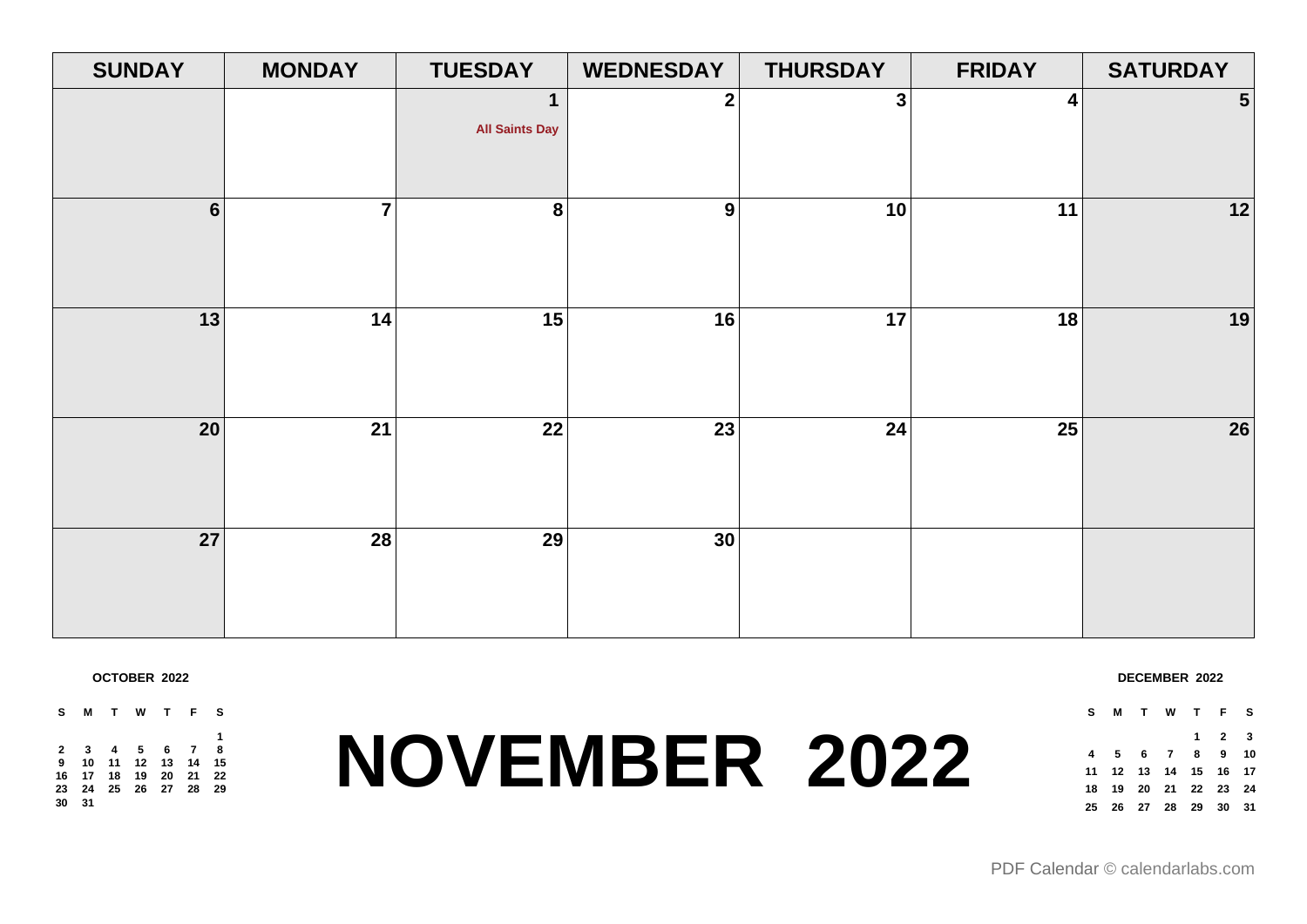| <b>SUNDAY</b>   | <b>MONDAY</b> | <b>TUESDAY</b>                       | <b>WEDNESDAY</b> | <b>THURSDAY</b> | <b>FRIDAY</b> | <b>SATURDAY</b> |
|-----------------|---------------|--------------------------------------|------------------|-----------------|---------------|-----------------|
|                 |               | $\mathbf 1$<br><b>All Saints Day</b> | $\mathbf{2}$     | $\mathbf{3}$    | 4             | 5               |
| $6\phantom{a}$  | 7             | $\bf 8$                              | $\boldsymbol{9}$ | 10              | 11            | 12              |
| 13              | 14            | 15                                   | 16               | 17              | 18            | 19              |
| 20 <sup>°</sup> | 21            | 22                                   | 23               | 24              | 25            | 26              |
| 27              | 28            | 29                                   | 30 <sup>°</sup>  |                 |               |                 |

**OCTOBER 2022**

**S M T W T F S 3 4 5 6 7 8 10 11 12 13 14 15 17 18 19 20 21 22 24 25 26 27 28 29 31**

# **NOVEMBER 2022**

| DECEMBER 2022 |  |
|---------------|--|
|---------------|--|

**S M T W T F S**

 **5 6 7 8 9 10 12 13 14 15 16 17 19 20 21 22 23 24 26 27 28 29 30 31**

**2 3**